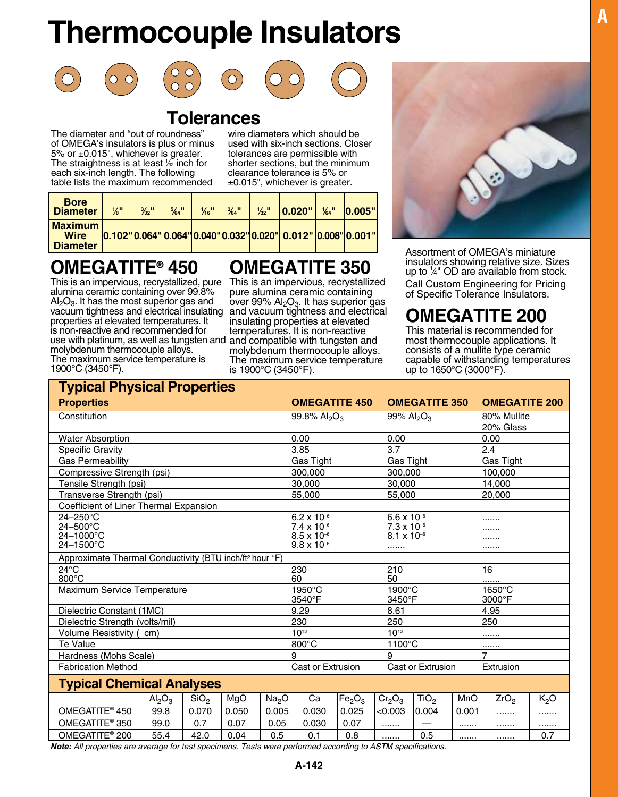# **Thermocouple Insulators**











# **Tolerances**

The diameter and "out of roundness" of OMEGA's insulators is plus or minus 5% or ±0.015", whichever is greater. The straightness is at least 1/<sub>32</sub> inch for each six-inch length. The following table lists the maximum recommended

wire diameters which should be used with six-inch sections. Closer tolerances are permissible with shorter sections, but the minimum clearance tolerance is 5% or ±0.015", whichever is greater.

| <b>Bore</b><br><b>Diameter</b>            | ‰" | $\frac{3}{22}$ <sup>11</sup> | $\frac{5}{64}$ <sup>11</sup> | $\frac{1}{6}$ " | $\frac{3}{64}$ " | $\frac{1}{32}$ " | 0.020"                                                                                                                                                                                                                                                                                                                                        | $\frac{1}{64}$ <sup>11</sup> | 0.005" |
|-------------------------------------------|----|------------------------------|------------------------------|-----------------|------------------|------------------|-----------------------------------------------------------------------------------------------------------------------------------------------------------------------------------------------------------------------------------------------------------------------------------------------------------------------------------------------|------------------------------|--------|
| <b>Maximum</b><br>Wire<br><b>Diameter</b> |    |                              |                              |                 |                  |                  | $\vert 0.102 \vert 0.064 \vert 0.064 \vert 0.040 \vert 0.032 \vert 0.020 \vert 0.012 \vert 0.008 \vert 0.001 \vert 0.001 \vert 0.001 \vert 0.001 \vert 0.001 \vert 0.001 \vert 0.001 \vert 0.001 \vert 0.001 \vert 0.001 \vert 0.001 \vert 0.001 \vert 0.001 \vert 0.001 \vert 0.001 \vert 0.001 \vert 0.001 \vert 0.001 \vert 0.001 \vert 0$ |                              |        |

## **OMEGATITE® 450**

This is an impervious, recrystallized, pure This is an impervious, recrystallized alumina ceramic containing over 99.8%  $Al<sub>2</sub>O<sub>3</sub>$ . It has the most superior gas and vacuum tightness and electrical insulating properties at elevated temperatures. It is non-reactive and recommended for use with platinum, as well as tungsten and molybdenum thermocouple alloys. The maximum service temperature is 1900°C (3450°F).

# **OMEGATITE 350**

pure alumina ceramic containing over 99%  $Al<sub>2</sub>O<sub>3</sub>$ . It has superior gas and vacuum tightness and electrical insulating properties at elevated temperatures. It is non-reactive and compatible with tungsten and molybdenum thermocouple alloys. The maximum service temperature is 1900°C (3450°F).



Assortment of OMEGA's miniature insulators showing relative size. Sizes up to  $\frac{1}{4}$ " OD are available from stock. Call Custom Engineering for Pricing of Specific Tolerance Insulators.

# **OMEGATITE 200**

This material is recommended for most thermocouple applications. It consists of a mullite type ceramic capable of withstanding temperatures up to 1650°C (3000°F).

| <b>Typical Physical Properties</b>                                             |                                                                     |       |                   |       |                                              |                                |                      |                                    |                      |                  |                      |           |  |
|--------------------------------------------------------------------------------|---------------------------------------------------------------------|-------|-------------------|-------|----------------------------------------------|--------------------------------|----------------------|------------------------------------|----------------------|------------------|----------------------|-----------|--|
| <b>Properties</b>                                                              |                                                                     |       |                   |       |                                              |                                | <b>OMEGATITE 450</b> |                                    | <b>OMEGATITE 350</b> |                  | <b>OMEGATITE 200</b> |           |  |
| Constitution                                                                   |                                                                     |       |                   |       | 99.8% Al <sub>2</sub> O <sub>3</sub>         |                                |                      | 99% Al <sub>2</sub> O <sub>3</sub> |                      | 80% Mullite      |                      |           |  |
|                                                                                |                                                                     |       |                   |       |                                              |                                |                      |                                    |                      |                  |                      | 20% Glass |  |
| <b>Water Absorption</b>                                                        |                                                                     |       |                   |       |                                              | 0.00                           |                      | 0.00                               |                      |                  | 0.00                 |           |  |
| <b>Specific Gravity</b>                                                        |                                                                     |       |                   |       |                                              | 3.85                           |                      | 3.7                                |                      |                  | 2.4                  |           |  |
| <b>Gas Permeability</b>                                                        |                                                                     |       |                   |       |                                              | Gas Tight                      |                      |                                    | <b>Gas Tight</b>     |                  | Gas Tight            |           |  |
| Compressive Strength (psi)                                                     |                                                                     |       |                   |       |                                              | 300.000                        |                      |                                    | 300.000              |                  |                      | 100.000   |  |
| Tensile Strength (psi)                                                         |                                                                     |       |                   |       | 30,000                                       |                                |                      | 30,000                             |                      |                  |                      | 14,000    |  |
| Transverse Strength (psi)                                                      |                                                                     |       |                   |       | 55,000                                       |                                |                      | 55,000                             |                      |                  |                      | 20,000    |  |
| Coefficient of Liner Thermal Expansion                                         |                                                                     |       |                   |       |                                              |                                |                      |                                    |                      |                  |                      |           |  |
| $24 - 250$ °C                                                                  |                                                                     |       |                   |       |                                              | $6.2 \times 10^{-6}$           |                      | $6.6 \times 10^{-6}$               |                      |                  |                      |           |  |
| $24 - 500^{\circ}$ C<br>24-1000°C                                              |                                                                     |       |                   |       |                                              | $7.4 \times 10^{-6}$           |                      |                                    | $7.3 \times 10^{-6}$ |                  |                      |           |  |
| 24-1500°C                                                                      |                                                                     |       |                   |       | $8.5 \times 10^{-6}$<br>$9.8 \times 10^{-6}$ |                                |                      | $8.1 \times 10^{-6}$<br>           |                      | .                |                      |           |  |
|                                                                                | Approximate Thermal Conductivity (BTU inch/ft <sup>2</sup> hour °F) |       |                   |       |                                              |                                |                      |                                    |                      |                  |                      |           |  |
| $24^{\circ}$ C                                                                 |                                                                     |       |                   | 230   |                                              |                                | 210                  |                                    |                      | 16               |                      |           |  |
| 800°C                                                                          |                                                                     |       |                   | 60    |                                              |                                | 50                   |                                    |                      |                  | .                    |           |  |
| Maximum Service Temperature                                                    |                                                                     |       |                   |       | 1950°C                                       |                                | 1900°C               |                                    |                      |                  | 1650°C               |           |  |
|                                                                                |                                                                     |       |                   |       | 3540°F                                       |                                |                      | 3450°F                             |                      |                  |                      | 3000°F    |  |
| Dielectric Constant (1MC)                                                      |                                                                     |       |                   |       | 9.29                                         |                                |                      | 8.61                               |                      |                  |                      | 4.95      |  |
| Dielectric Strength (volts/mil)                                                |                                                                     |       |                   |       | 230                                          |                                | 250                  |                                    |                      | 250              |                      |           |  |
| Volume Resistivity (cm)                                                        |                                                                     |       |                   |       | $10^{13}$                                    |                                | $10^{13}$            |                                    |                      | .                |                      |           |  |
| Te Value                                                                       |                                                                     |       |                   |       | $800^{\circ}$ C<br>1100°C                    |                                |                      |                                    |                      |                  |                      |           |  |
| Hardness (Mohs Scale)                                                          |                                                                     |       |                   | 9     |                                              |                                | 9                    |                                    | $\overline{7}$       |                  |                      |           |  |
| <b>Fabrication Method</b>                                                      |                                                                     |       | Cast or Extrusion |       |                                              | Cast or Extrusion              |                      |                                    | Extrusion            |                  |                      |           |  |
| <b>Typical Chemical Analyses</b>                                               |                                                                     |       |                   |       |                                              |                                |                      |                                    |                      |                  |                      |           |  |
| SiO <sub>2</sub><br>MgO<br>Na <sub>2</sub> O<br>Al <sub>2</sub> O <sub>3</sub> |                                                                     |       |                   | Ca    | Fe <sub>2</sub> O <sub>3</sub>               | Cr <sub>2</sub> O <sub>3</sub> | TiO <sub>2</sub>     | MnO                                |                      | ZrO <sub>2</sub> | K <sub>2</sub> O     |           |  |
| OMEGATITE <sup>®</sup> 450                                                     | 99.8                                                                | 0.070 | 0.050             | 0.005 |                                              | 0.030                          | 0.025                | < 0.003                            | 0.004                | 0.001            |                      |           |  |
| OMEGATITE <sup>®</sup> 350                                                     | 99.0                                                                | 0.7   | 0.07              | 0.05  |                                              | 0.030                          | 0.07                 |                                    |                      |                  |                      |           |  |
| 0.5<br>OMEGATITE <sup>®</sup> 200<br>0.04<br>55.4<br>42.0                      |                                                                     |       |                   | 0.1   | 0.8                                          |                                | 0.5                  |                                    |                      |                  | 0.7                  |           |  |

*Note: All properties are average for test specimens. Tests were performed according to ASTM specifications.*